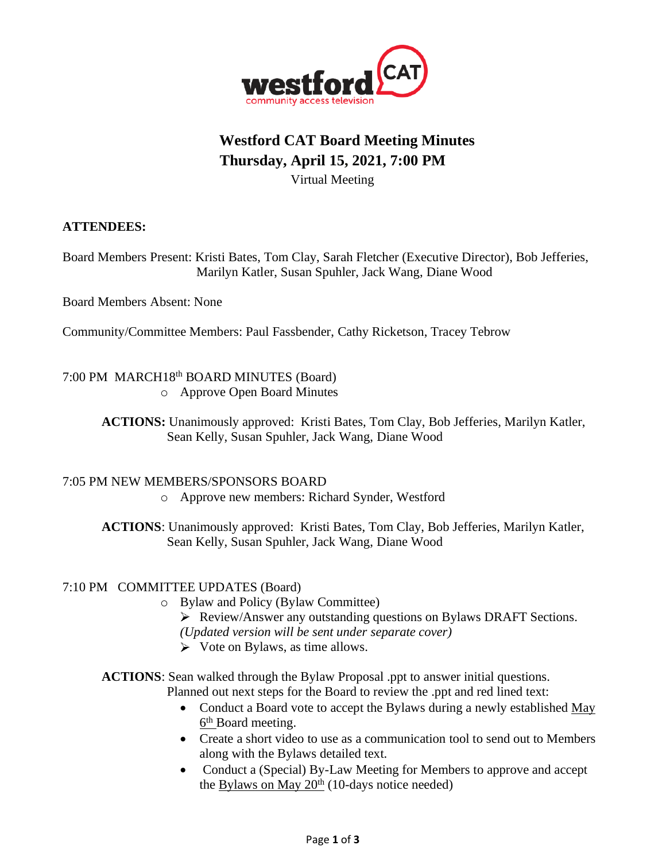

# **Westford CAT Board Meeting Minutes Thursday, April 15, 2021, 7:00 PM** Virtual Meeting

#### **ATTENDEES:**

Board Members Present: Kristi Bates, Tom Clay, Sarah Fletcher (Executive Director), Bob Jefferies, Marilyn Katler, Susan Spuhler, Jack Wang, Diane Wood

Board Members Absent: None

Community/Committee Members: Paul Fassbender, Cathy Ricketson, Tracey Tebrow

## 7:00 PM MARCH18th BOARD MINUTES (Board)

o Approve Open Board Minutes

**ACTIONS:** Unanimously approved: Kristi Bates, Tom Clay, Bob Jefferies, Marilyn Katler, Sean Kelly, Susan Spuhler, Jack Wang, Diane Wood

#### 7:05 PM NEW MEMBERS/SPONSORS BOARD

o Approve new members: Richard Synder, Westford

**ACTIONS**: Unanimously approved: Kristi Bates, Tom Clay, Bob Jefferies, Marilyn Katler, Sean Kelly, Susan Spuhler, Jack Wang, Diane Wood

#### 7:10 PM COMMITTEE UPDATES (Board)

- o Bylaw and Policy (Bylaw Committee)
	- Review/Answer any outstanding questions on Bylaws DRAFT Sections. *(Updated version will be sent under separate cover)*
	- $\triangleright$  Vote on Bylaws, as time allows.

**ACTIONS**: Sean walked through the Bylaw Proposal .ppt to answer initial questions. Planned out next steps for the Board to review the .ppt and red lined text:

- Conduct a Board vote to accept the Bylaws during a newly established May 6<sup>th</sup> Board meeting.
- Create a short video to use as a communication tool to send out to Members along with the Bylaws detailed text.
- Conduct a (Special) By-Law Meeting for Members to approve and accept the Bylaws on May  $20<sup>th</sup>$  (10-days notice needed)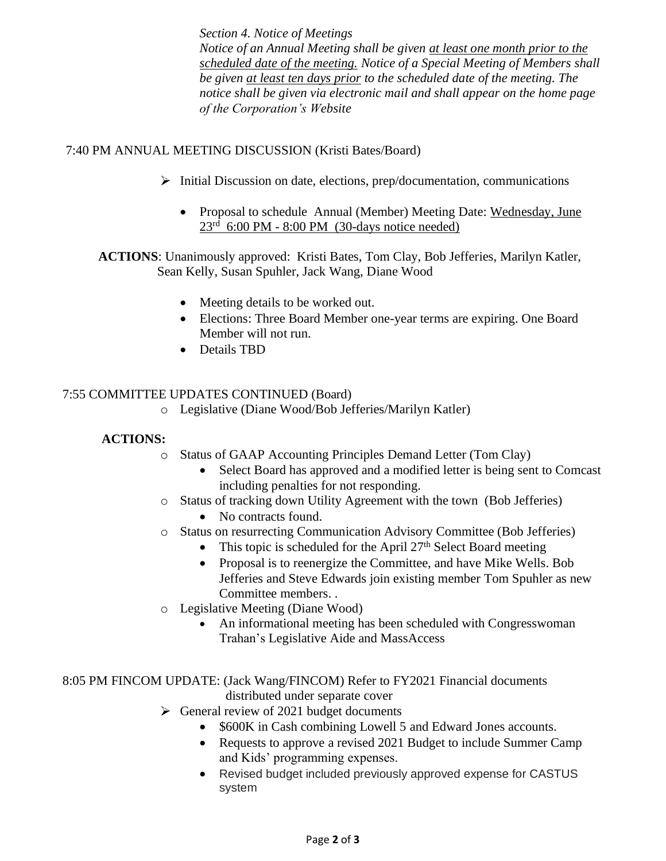*Section 4. Notice of Meetings Notice of an Annual Meeting shall be given at least one month prior to the scheduled date of the meeting. Notice of a Special Meeting of Members shall be given at least ten days prior to the scheduled date of the meeting. The notice shall be given via electronic mail and shall appear on the home page of the Corporation's Website*

### 7:40 PM ANNUAL MEETING DISCUSSION (Kristi Bates/Board)

- $\triangleright$  Initial Discussion on date, elections, prep/documentation, communications
	- Proposal to schedule Annual (Member) Meeting Date: Wednesday, June 23<sup>rd</sup> 6:00 PM - 8:00 PM (30-days notice needed)

 **ACTIONS**: Unanimously approved: Kristi Bates, Tom Clay, Bob Jefferies, Marilyn Katler, Sean Kelly, Susan Spuhler, Jack Wang, Diane Wood

- Meeting details to be worked out.
- Elections: Three Board Member one-year terms are expiring. One Board Member will not run.
- Details TBD

#### 7:55 COMMITTEE UPDATES CONTINUED (Board)

o Legislative (Diane Wood/Bob Jefferies/Marilyn Katler)

#### **ACTIONS:**

- o Status of GAAP Accounting Principles Demand Letter (Tom Clay)
	- Select Board has approved and a modified letter is being sent to Comcast including penalties for not responding.
- o Status of tracking down Utility Agreement with the town (Bob Jefferies) • No contracts found.
- o Status on resurrecting Communication Advisory Committee (Bob Jefferies)
	- This topic is scheduled for the April  $27<sup>th</sup>$  Select Board meeting
	- Proposal is to reenergize the Committee, and have Mike Wells. Bob Jefferies and Steve Edwards join existing member Tom Spuhler as new Committee members. .
- o Legislative Meeting (Diane Wood)
	- An informational meeting has been scheduled with Congresswoman Trahan's Legislative Aide and MassAccess

8:05 PM FINCOM UPDATE: (Jack Wang/FINCOM) Refer to FY2021 Financial documents

- distributed under separate cover
- $\triangleright$  General review of 2021 budget documents
	- \$600K in Cash combining Lowell 5 and Edward Jones accounts.
	- Requests to approve a revised 2021 Budget to include Summer Camp and Kids' programming expenses.
	- Revised budget included previously approved expense for CASTUS system